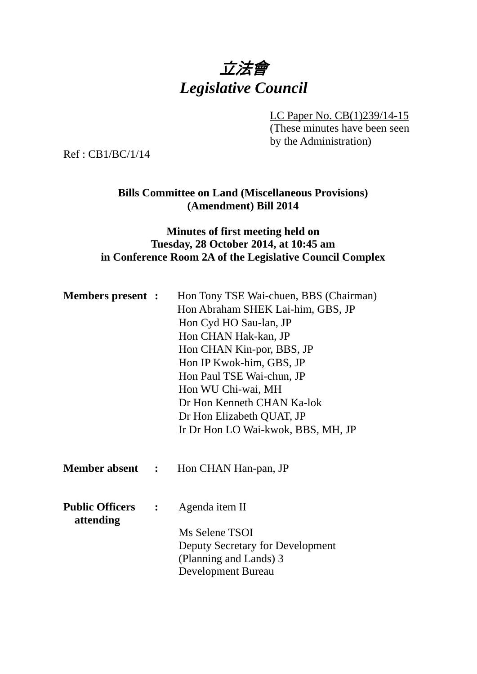

LC Paper No. CB(1)239/14-15

(These minutes have been seen by the Administration)

Ref : CB1/BC/1/14

# **Bills Committee on Land (Miscellaneous Provisions) (Amendment) Bill 2014**

# **Minutes of first meeting held on Tuesday, 28 October 2014, at 10:45 am in Conference Room 2A of the Legislative Council Complex**

| <b>Members present :</b>            |                  | Hon Tony TSE Wai-chuen, BBS (Chairman)<br>Hon Abraham SHEK Lai-him, GBS, JP<br>Hon Cyd HO Sau-lan, JP<br>Hon CHAN Hak-kan, JP<br>Hon CHAN Kin-por, BBS, JP<br>Hon IP Kwok-him, GBS, JP<br>Hon Paul TSE Wai-chun, JP<br>Hon WU Chi-wai, MH<br>Dr Hon Kenneth CHAN Ka-lok<br>Dr Hon Elizabeth QUAT, JP<br>Ir Dr Hon LO Wai-kwok, BBS, MH, JP |
|-------------------------------------|------------------|--------------------------------------------------------------------------------------------------------------------------------------------------------------------------------------------------------------------------------------------------------------------------------------------------------------------------------------------|
| <b>Member absent :</b>              |                  | Hon CHAN Han-pan, JP                                                                                                                                                                                                                                                                                                                       |
| <b>Public Officers</b><br>attending | $\ddot{\bullet}$ | Agenda item II<br>Ms Selene TSOI<br>Deputy Secretary for Development<br>(Planning and Lands) 3<br>Development Bureau                                                                                                                                                                                                                       |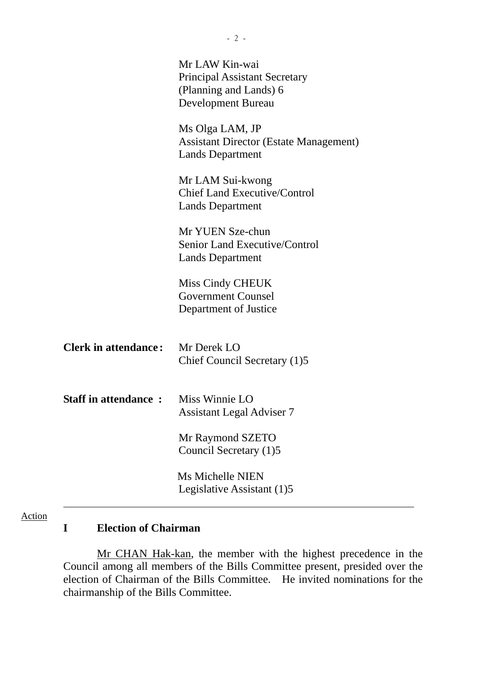|                             | Mr LAW Kin-wai<br><b>Principal Assistant Secretary</b><br>(Planning and Lands) 6<br><b>Development Bureau</b> |
|-----------------------------|---------------------------------------------------------------------------------------------------------------|
|                             | Ms Olga LAM, JP<br><b>Assistant Director (Estate Management)</b><br><b>Lands Department</b>                   |
|                             | Mr LAM Sui-kwong<br><b>Chief Land Executive/Control</b><br><b>Lands Department</b>                            |
|                             | Mr YUEN Sze-chun<br>Senior Land Executive/Control<br><b>Lands Department</b>                                  |
|                             | Miss Cindy CHEUK<br><b>Government Counsel</b><br>Department of Justice                                        |
| <b>Clerk in attendance:</b> | Mr Derek LO<br>Chief Council Secretary (1)5                                                                   |
| <b>Staff in attendance:</b> | Miss Winnie LO<br><b>Assistant Legal Adviser 7</b>                                                            |
|                             | Mr Raymond SZETO<br>Council Secretary (1)5                                                                    |
|                             | <b>Ms Michelle NIEN</b><br>Legislative Assistant (1)5                                                         |

## Action

## **I Election of Chairman**

 Mr CHAN Hak-kan, the member with the highest precedence in the Council among all members of the Bills Committee present, presided over the election of Chairman of the Bills Committee. He invited nominations for the chairmanship of the Bills Committee.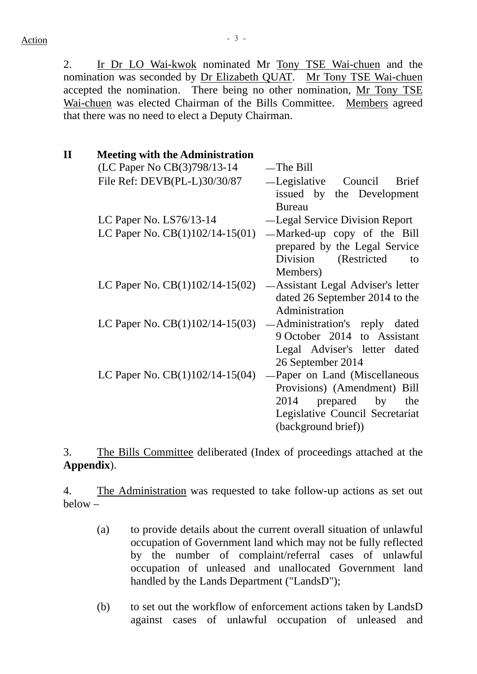2. Ir Dr LO Wai-kwok nominated Mr Tony TSE Wai-chuen and the nomination was seconded by Dr Elizabeth QUAT. Mr Tony TSE Wai-chuen accepted the nomination. There being no other nomination, Mr Tony TSE Wai-chuen was elected Chairman of the Bills Committee. Members agreed that there was no need to elect a Deputy Chairman.

| $\mathbf{I}$ | <b>Meeting with the Administration</b> |                                                                                                  |
|--------------|----------------------------------------|--------------------------------------------------------------------------------------------------|
|              | (LC Paper No CB(3)798/13-14            | $-$ The Bill                                                                                     |
|              | File Ref: DEVB(PL-L)30/30/87           | -Legislative Council<br><b>Brief</b><br>issued by the Development                                |
|              | LC Paper No. $LS76/13-14$              | <b>Bureau</b><br>-Legal Service Division Report                                                  |
|              |                                        |                                                                                                  |
|              | LC Paper No. $CB(1)102/14-15(01)$      | -Marked-up copy of the Bill<br>prepared by the Legal Service<br>Division<br>(Restricted)<br>to   |
|              |                                        | Members)                                                                                         |
|              | LC Paper No. $CB(1)102/14-15(02)$      | -Assistant Legal Adviser's letter<br>dated 26 September 2014 to the                              |
|              |                                        | Administration                                                                                   |
|              | LC Paper No. $CB(1)102/14-15(03)$      | — Administration's reply dated                                                                   |
|              |                                        | 9 October 2014 to Assistant                                                                      |
|              |                                        | Legal Adviser's letter dated                                                                     |
|              |                                        | 26 September 2014                                                                                |
|              | LC Paper No. $CB(1)102/14-15(04)$      | -Paper on Land (Miscellaneous                                                                    |
|              |                                        | Provisions) (Amendment) Bill<br>2014<br>prepared<br>by<br>the<br>Legislative Council Secretariat |
|              |                                        | (background brief))                                                                              |

3. The Bills Committee deliberated (Index of proceedings attached at the **Appendix**).

4. The Administration was requested to take follow-up actions as set out below –

- (a) to provide details about the current overall situation of unlawful occupation of Government land which may not be fully reflected by the number of complaint/referral cases of unlawful occupation of unleased and unallocated Government land handled by the Lands Department ("LandsD");
- (b) to set out the workflow of enforcement actions taken by LandsD against cases of unlawful occupation of unleased and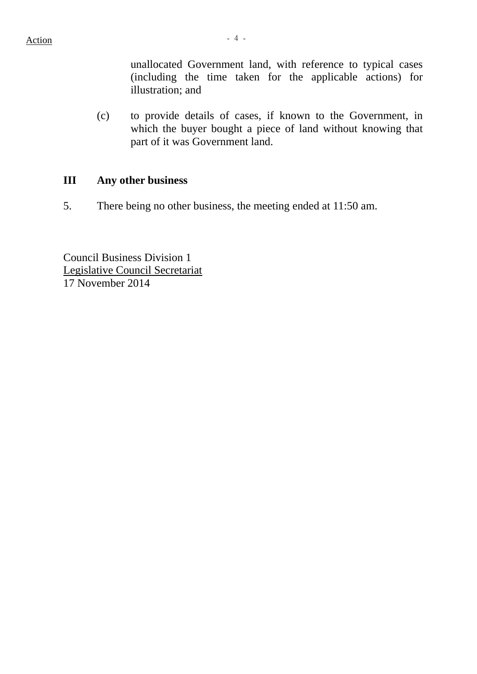unallocated Government land, with reference to typical cases (including the time taken for the applicable actions) for illustration; and

(c) to provide details of cases, if known to the Government, in which the buyer bought a piece of land without knowing that part of it was Government land.

## **III Any other business**

5. There being no other business, the meeting ended at 11:50 am.

Council Business Division 1 Legislative Council Secretariat 17 November 2014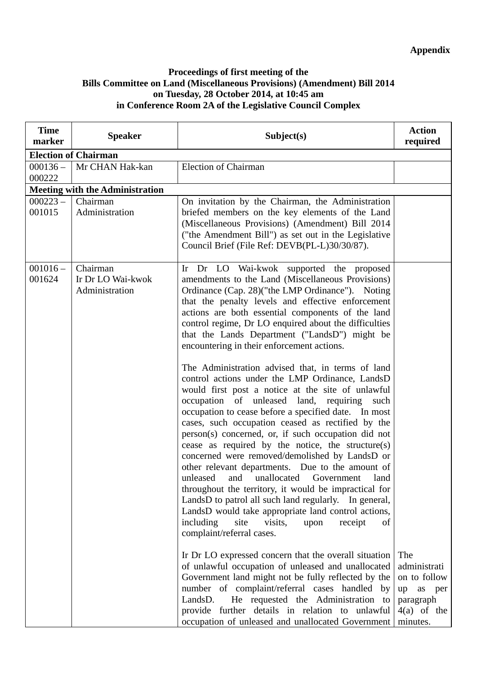#### **Proceedings of first meeting of the Bills Committee on Land (Miscellaneous Provisions) (Amendment) Bill 2014 on Tuesday, 28 October 2014, at 10:45 am in Conference Room 2A of the Legislative Council Complex**

| <b>Time</b><br>marker | <b>Speaker</b>                                  | Subject(s)                                                                                                                                                                                                                                                                                                                                                                                                                                                                                                                                                                                                                                                                                                                                                                                                                                                                                                                                                                                                                                                                                                                                                                                                                                                                                                                                                                                                                                                                                                                                                                                                                                                       | <b>Action</b><br>required                                                                        |
|-----------------------|-------------------------------------------------|------------------------------------------------------------------------------------------------------------------------------------------------------------------------------------------------------------------------------------------------------------------------------------------------------------------------------------------------------------------------------------------------------------------------------------------------------------------------------------------------------------------------------------------------------------------------------------------------------------------------------------------------------------------------------------------------------------------------------------------------------------------------------------------------------------------------------------------------------------------------------------------------------------------------------------------------------------------------------------------------------------------------------------------------------------------------------------------------------------------------------------------------------------------------------------------------------------------------------------------------------------------------------------------------------------------------------------------------------------------------------------------------------------------------------------------------------------------------------------------------------------------------------------------------------------------------------------------------------------------------------------------------------------------|--------------------------------------------------------------------------------------------------|
|                       | <b>Election of Chairman</b>                     |                                                                                                                                                                                                                                                                                                                                                                                                                                                                                                                                                                                                                                                                                                                                                                                                                                                                                                                                                                                                                                                                                                                                                                                                                                                                                                                                                                                                                                                                                                                                                                                                                                                                  |                                                                                                  |
| $000136 -$<br>000222  | Mr CHAN Hak-kan                                 | <b>Election of Chairman</b>                                                                                                                                                                                                                                                                                                                                                                                                                                                                                                                                                                                                                                                                                                                                                                                                                                                                                                                                                                                                                                                                                                                                                                                                                                                                                                                                                                                                                                                                                                                                                                                                                                      |                                                                                                  |
|                       | <b>Meeting with the Administration</b>          |                                                                                                                                                                                                                                                                                                                                                                                                                                                                                                                                                                                                                                                                                                                                                                                                                                                                                                                                                                                                                                                                                                                                                                                                                                                                                                                                                                                                                                                                                                                                                                                                                                                                  |                                                                                                  |
| $000223 -$<br>001015  | Chairman<br>Administration                      | On invitation by the Chairman, the Administration<br>briefed members on the key elements of the Land<br>(Miscellaneous Provisions) (Amendment) Bill 2014<br>("the Amendment Bill") as set out in the Legislative<br>Council Brief (File Ref: DEVB(PL-L)30/30/87).                                                                                                                                                                                                                                                                                                                                                                                                                                                                                                                                                                                                                                                                                                                                                                                                                                                                                                                                                                                                                                                                                                                                                                                                                                                                                                                                                                                                |                                                                                                  |
| $001016 -$<br>001624  | Chairman<br>Ir Dr LO Wai-kwok<br>Administration | Ir Dr LO Wai-kwok supported the proposed<br>amendments to the Land (Miscellaneous Provisions)<br>Ordinance (Cap. 28) ("the LMP Ordinance"). Noting<br>that the penalty levels and effective enforcement<br>actions are both essential components of the land<br>control regime, Dr LO enquired about the difficulties<br>that the Lands Department ("LandsD") might be<br>encountering in their enforcement actions.<br>The Administration advised that, in terms of land<br>control actions under the LMP Ordinance, LandsD<br>would first post a notice at the site of unlawful<br>occupation of unleased land, requiring<br>such<br>occupation to cease before a specified date. In most<br>cases, such occupation ceased as rectified by the<br>person(s) concerned, or, if such occupation did not<br>cease as required by the notice, the structure(s)<br>concerned were removed/demolished by LandsD or<br>other relevant departments. Due to the amount of<br>unleased and unallocated Government<br>land<br>throughout the territory, it would be impractical for<br>LandsD to patrol all such land regularly. In general,<br>LandsD would take appropriate land control actions,<br>including<br>site<br>visits,<br>upon<br>receipt<br>of<br>complaint/referral cases.<br>In Dr LO expressed concern that the overall situation<br>of unlawful occupation of unleased and unallocated<br>Government land might not be fully reflected by the<br>number of complaint/referral cases handled by<br>He requested the Administration to<br>LandsD.<br>provide further details in relation to unlawful<br>occupation of unleased and unallocated Government | The<br>administrati<br>on to follow<br>as<br>up<br>per<br>paragraph<br>$4(a)$ of the<br>minutes. |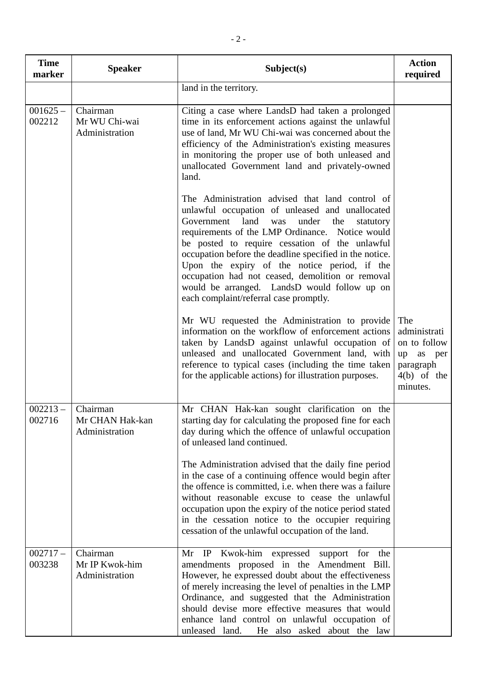| <b>Time</b><br>marker | <b>Speaker</b>                                           | Subject(s)                                                                                                                                                                                                                                                                                                                                                                                                                                                                                                           | <b>Action</b><br>required                                                                  |
|-----------------------|----------------------------------------------------------|----------------------------------------------------------------------------------------------------------------------------------------------------------------------------------------------------------------------------------------------------------------------------------------------------------------------------------------------------------------------------------------------------------------------------------------------------------------------------------------------------------------------|--------------------------------------------------------------------------------------------|
|                       |                                                          | land in the territory.                                                                                                                                                                                                                                                                                                                                                                                                                                                                                               |                                                                                            |
| $001625 -$<br>002212  | Chairman<br>Mr WU Chi-wai<br>Administration              | Citing a case where LandsD had taken a prolonged<br>time in its enforcement actions against the unlawful<br>use of land, Mr WU Chi-wai was concerned about the<br>efficiency of the Administration's existing measures<br>in monitoring the proper use of both unleased and<br>unallocated Government land and privately-owned<br>land.                                                                                                                                                                              |                                                                                            |
|                       |                                                          | The Administration advised that land control of<br>unlawful occupation of unleased and unallocated<br>Government land was<br>under<br>the<br>statutory<br>requirements of the LMP Ordinance. Notice would<br>be posted to require cessation of the unlawful<br>occupation before the deadline specified in the notice.<br>Upon the expiry of the notice period, if the<br>occupation had not ceased, demolition or removal<br>would be arranged. LandsD would follow up on<br>each complaint/referral case promptly. |                                                                                            |
|                       |                                                          | Mr WU requested the Administration to provide<br>information on the workflow of enforcement actions<br>taken by LandsD against unlawful occupation of<br>unleased and unallocated Government land, with<br>reference to typical cases (including the time taken<br>for the applicable actions) for illustration purposes.                                                                                                                                                                                            | The<br>administrati<br>on to follow<br>up as per<br>paragraph<br>$4(b)$ of the<br>minutes. |
| 002716                | $002213 -$ Chairman<br>Mr CHAN Hak-kan<br>Administration | Mr CHAN Hak-kan sought clarification on the<br>starting day for calculating the proposed fine for each<br>day during which the offence of unlawful occupation<br>of unleased land continued.                                                                                                                                                                                                                                                                                                                         |                                                                                            |
|                       |                                                          | The Administration advised that the daily fine period<br>in the case of a continuing offence would begin after<br>the offence is committed, i.e. when there was a failure<br>without reasonable excuse to cease the unlawful<br>occupation upon the expiry of the notice period stated<br>in the cessation notice to the occupier requiring<br>cessation of the unlawful occupation of the land.                                                                                                                     |                                                                                            |
| $002717-$<br>003238   | Chairman<br>Mr IP Kwok-him<br>Administration             | Mr IP Kwok-him expressed support for the<br>amendments proposed in the Amendment Bill.<br>However, he expressed doubt about the effectiveness<br>of merely increasing the level of penalties in the LMP<br>Ordinance, and suggested that the Administration<br>should devise more effective measures that would<br>enhance land control on unlawful occupation of<br>unleased land.<br>He also asked about the law                                                                                                   |                                                                                            |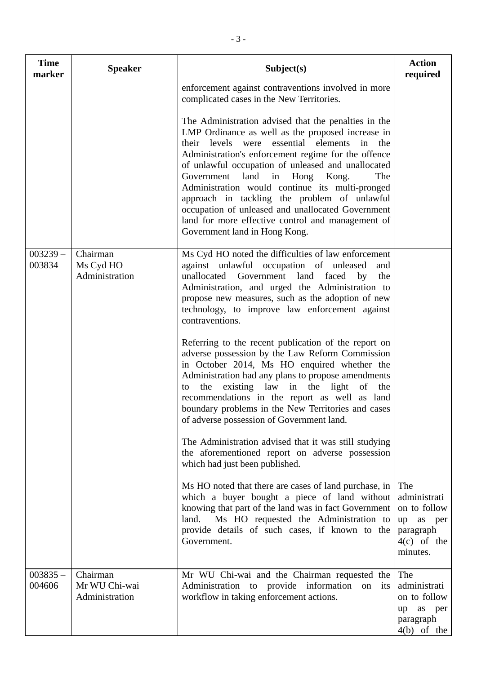| <b>Time</b><br>marker | <b>Speaker</b>                              | Subject(s)                                                                                                                                                                                                                                                                                                                                                                                                                                                                                                                                                                                                                                                                                                                                                                                                                                                                                                                                                                                                                                                                                                                                                                                        | <b>Action</b><br>required                                                                     |
|-----------------------|---------------------------------------------|---------------------------------------------------------------------------------------------------------------------------------------------------------------------------------------------------------------------------------------------------------------------------------------------------------------------------------------------------------------------------------------------------------------------------------------------------------------------------------------------------------------------------------------------------------------------------------------------------------------------------------------------------------------------------------------------------------------------------------------------------------------------------------------------------------------------------------------------------------------------------------------------------------------------------------------------------------------------------------------------------------------------------------------------------------------------------------------------------------------------------------------------------------------------------------------------------|-----------------------------------------------------------------------------------------------|
|                       |                                             | enforcement against contraventions involved in more<br>complicated cases in the New Territories.<br>The Administration advised that the penalties in the<br>LMP Ordinance as well as the proposed increase in<br>their levels were essential elements in the<br>Administration's enforcement regime for the offence<br>of unlawful occupation of unleased and unallocated<br>Government land in Hong Kong.<br>The<br>Administration would continue its multi-pronged<br>approach in tackling the problem of unlawful<br>occupation of unleased and unallocated Government<br>land for more effective control and management of<br>Government land in Hong Kong.                                                                                                                                                                                                                                                                                                                                                                                                                                                                                                                                   |                                                                                               |
| $003239 -$<br>003834  | Chairman<br>Ms Cyd HO<br>Administration     | Ms Cyd HO noted the difficulties of law enforcement<br>against unlawful occupation of unleased<br>and<br>unallocated Government land faced<br>the<br>by<br>Administration, and urged the Administration to<br>propose new measures, such as the adoption of new<br>technology, to improve law enforcement against<br>contraventions.<br>Referring to the recent publication of the report on<br>adverse possession by the Law Reform Commission<br>in October 2014, Ms HO enquired whether the<br>Administration had any plans to propose amendments<br>existing law in the light<br>the<br>of<br>the<br>to<br>recommendations in the report as well as land<br>boundary problems in the New Territories and cases<br>of adverse possession of Government land.<br>The Administration advised that it was still studying<br>the aforementioned report on adverse possession<br>which had just been published.<br>Ms HO noted that there are cases of land purchase, in<br>which a buyer bought a piece of land without<br>knowing that part of the land was in fact Government<br>Ms HO requested the Administration to<br>land.<br>provide details of such cases, if known to the<br>Government. | The<br>administrati<br>on to follow<br>as per<br>up<br>paragraph<br>$4(c)$ of the<br>minutes. |
| $003835 -$<br>004606  | Chairman<br>Mr WU Chi-wai<br>Administration | Mr WU Chi-wai and the Chairman requested the<br>Administration to provide information on its<br>workflow in taking enforcement actions.                                                                                                                                                                                                                                                                                                                                                                                                                                                                                                                                                                                                                                                                                                                                                                                                                                                                                                                                                                                                                                                           | The<br>administrati<br>on to follow<br>up as per<br>paragraph<br>$4(b)$ of the                |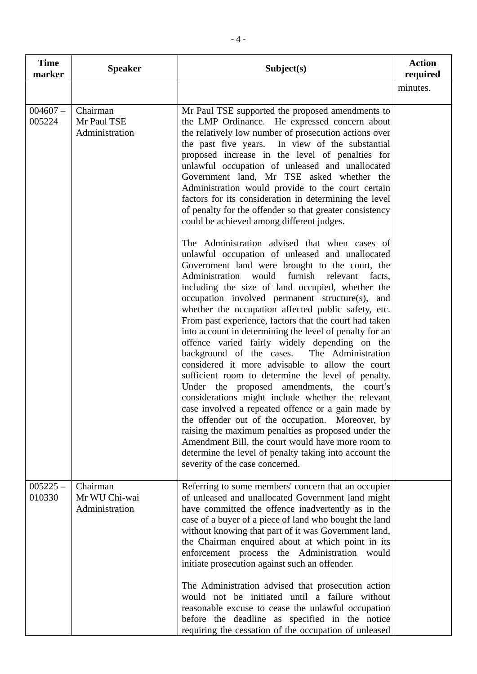| <b>Time</b><br>marker | <b>Speaker</b>                              | Subject(s)                                                                                                                                                                                                                                                                                                                                                                                                                                                                                                                                                                                                                                                                                                                                                                                                                                                                                                                                                                                                                                                                                                              | <b>Action</b><br>required |
|-----------------------|---------------------------------------------|-------------------------------------------------------------------------------------------------------------------------------------------------------------------------------------------------------------------------------------------------------------------------------------------------------------------------------------------------------------------------------------------------------------------------------------------------------------------------------------------------------------------------------------------------------------------------------------------------------------------------------------------------------------------------------------------------------------------------------------------------------------------------------------------------------------------------------------------------------------------------------------------------------------------------------------------------------------------------------------------------------------------------------------------------------------------------------------------------------------------------|---------------------------|
|                       |                                             |                                                                                                                                                                                                                                                                                                                                                                                                                                                                                                                                                                                                                                                                                                                                                                                                                                                                                                                                                                                                                                                                                                                         | minutes.                  |
| $004607 -$<br>005224  | Chairman<br>Mr Paul TSE<br>Administration   | Mr Paul TSE supported the proposed amendments to<br>the LMP Ordinance. He expressed concern about<br>the relatively low number of prosecution actions over<br>the past five years. In view of the substantial<br>proposed increase in the level of penalties for<br>unlawful occupation of unleased and unallocated<br>Government land, Mr TSE asked whether the<br>Administration would provide to the court certain<br>factors for its consideration in determining the level<br>of penalty for the offender so that greater consistency<br>could be achieved among different judges.                                                                                                                                                                                                                                                                                                                                                                                                                                                                                                                                 |                           |
|                       |                                             | The Administration advised that when cases of<br>unlawful occupation of unleased and unallocated<br>Government land were brought to the court, the<br>Administration would furnish relevant<br>facts,<br>including the size of land occupied, whether the<br>occupation involved permanent structure(s), and<br>whether the occupation affected public safety, etc.<br>From past experience, factors that the court had taken<br>into account in determining the level of penalty for an<br>offence varied fairly widely depending on the<br>background of the cases. The Administration<br>considered it more advisable to allow the court<br>sufficient room to determine the level of penalty.<br>Under the proposed amendments, the court's<br>considerations might include whether the relevant<br>case involved a repeated offence or a gain made by<br>the offender out of the occupation. Moreover, by<br>raising the maximum penalties as proposed under the<br>Amendment Bill, the court would have more room to<br>determine the level of penalty taking into account the<br>severity of the case concerned. |                           |
| $005225 -$<br>010330  | Chairman<br>Mr WU Chi-wai<br>Administration | Referring to some members' concern that an occupier<br>of unleased and unallocated Government land might<br>have committed the offence inadvertently as in the<br>case of a buyer of a piece of land who bought the land<br>without knowing that part of it was Government land,<br>the Chairman enquired about at which point in its<br>enforcement process the Administration would<br>initiate prosecution against such an offender.<br>The Administration advised that prosecution action<br>would not be initiated until a failure without<br>reasonable excuse to cease the unlawful occupation<br>before the deadline as specified in the notice<br>requiring the cessation of the occupation of unleased                                                                                                                                                                                                                                                                                                                                                                                                        |                           |